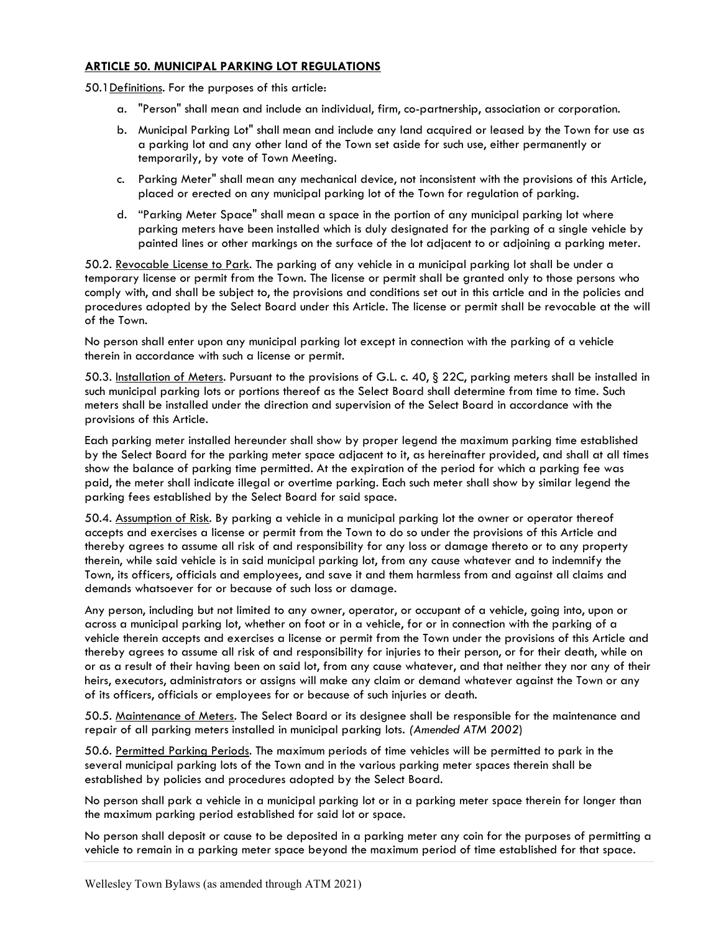## ARTICLE 50. MUNICIPAL PARKING LOT REGULATIONS

50.1Definitions. For the purposes of this article:

- a. "Person" shall mean and include an individual, firm, co-partnership, association or corporation.
- b. Municipal Parking Lot" shall mean and include any land acquired or leased by the Town for use as a parking lot and any other land of the Town set aside for such use, either permanently or temporarily, by vote of Town Meeting.
- c. Parking Meter" shall mean any mechanical device, not inconsistent with the provisions of this Article, placed or erected on any municipal parking lot of the Town for regulation of parking.
- d. "Parking Meter Space" shall mean a space in the portion of any municipal parking lot where parking meters have been installed which is duly designated for the parking of a single vehicle by painted lines or other markings on the surface of the lot adjacent to or adjoining a parking meter.

50.2. Revocable License to Park. The parking of any vehicle in a municipal parking lot shall be under a temporary license or permit from the Town. The license or permit shall be granted only to those persons who comply with, and shall be subject to, the provisions and conditions set out in this article and in the policies and procedures adopted by the Select Board under this Article. The license or permit shall be revocable at the will of the Town.

No person shall enter upon any municipal parking lot except in connection with the parking of a vehicle therein in accordance with such a license or permit.

50.3. Installation of Meters. Pursuant to the provisions of G.L. c. 40, § 22C, parking meters shall be installed in such municipal parking lots or portions thereof as the Select Board shall determine from time to time. Such meters shall be installed under the direction and supervision of the Select Board in accordance with the provisions of this Article.

Each parking meter installed hereunder shall show by proper legend the maximum parking time established by the Select Board for the parking meter space adjacent to it, as hereinafter provided, and shall at all times show the balance of parking time permitted. At the expiration of the period for which a parking fee was paid, the meter shall indicate illegal or overtime parking. Each such meter shall show by similar legend the parking fees established by the Select Board for said space.

50.4. Assumption of Risk. By parking a vehicle in a municipal parking lot the owner or operator thereof accepts and exercises a license or permit from the Town to do so under the provisions of this Article and thereby agrees to assume all risk of and responsibility for any loss or damage thereto or to any property therein, while said vehicle is in said municipal parking lot, from any cause whatever and to indemnify the Town, its officers, officials and employees, and save it and them harmless from and against all claims and demands whatsoever for or because of such loss or damage.

Any person, including but not limited to any owner, operator, or occupant of a vehicle, going into, upon or across a municipal parking lot, whether on foot or in a vehicle, for or in connection with the parking of a vehicle therein accepts and exercises a license or permit from the Town under the provisions of this Article and thereby agrees to assume all risk of and responsibility for injuries to their person, or for their death, while on or as a result of their having been on said lot, from any cause whatever, and that neither they nor any of their heirs, executors, administrators or assigns will make any claim or demand whatever against the Town or any of its officers, officials or employees for or because of such injuries or death.

50.5. Maintenance of Meters. The Select Board or its designee shall be responsible for the maintenance and repair of all parking meters installed in municipal parking lots. (Amended ATM 2002)

50.6. Permitted Parking Periods. The maximum periods of time vehicles will be permitted to park in the several municipal parking lots of the Town and in the various parking meter spaces therein shall be established by policies and procedures adopted by the Select Board.

No person shall park a vehicle in a municipal parking lot or in a parking meter space therein for longer than the maximum parking period established for said lot or space.

No person shall deposit or cause to be deposited in a parking meter any coin for the purposes of permitting a vehicle to remain in a parking meter space beyond the maximum period of time established for that space.